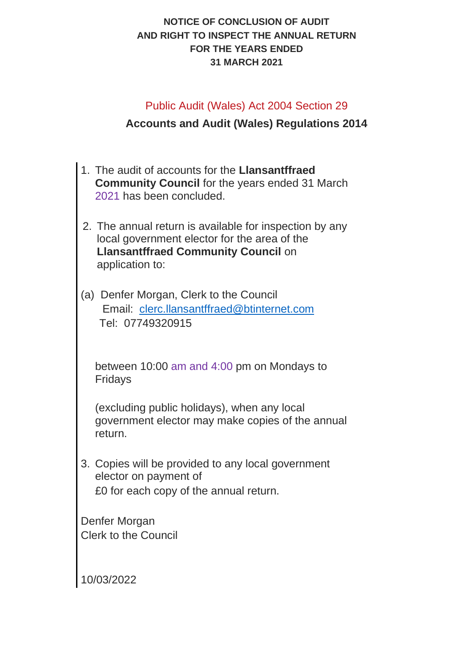## **NOTICE OF CONCLUSION OF AUDIT AND RIGHT TO INSPECT THE ANNUAL RETURN FOR THE YEARS ENDED 31 MARCH 2021**

## Public Audit (Wales) Act 2004 Section 29

## **Accounts and Audit (Wales) Regulations 2014**

- 1. The audit of accounts for the **Llansantffraed Community Council** for the years ended 31 March 2021 has been concluded.
- 2. The annual return is available for inspection by any local government elector for the area of the **Llansantffraed Community Council** on application to:
- (a) Denfer Morgan, Clerk to the Council Email: [clerc.llansantffraed@btinternet.com](mailto:clerc.llansantffraed@btinternet.com) Tel: 07749320915

between 10:00 am and 4:00 pm on Mondays to Fridays

(excluding public holidays), when any local government elector may make copies of the annual return.

3. Copies will be provided to any local government elector on payment of £0 for each copy of the annual return.

Denfer Morgan Clerk to the Council

10/03/2022